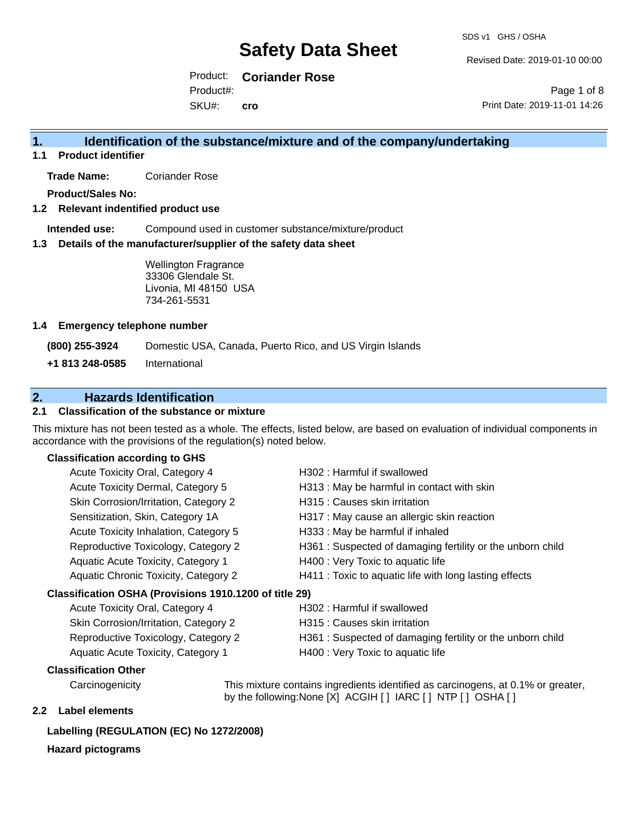Revised Date: 2019-01-10 00:00

Product: **Coriander Rose** Product#:

SKU#: **cro**

Page 1 of 8 Print Date: 2019-11-01 14:26

# **1. Identification of the substance/mixture and of the company/undertaking**

**1.1 Product identifier**

**Trade Name:** Coriander Rose

**Product/Sales No:**

**1.2 Relevant indentified product use**

**Intended use:** Compound used in customer substance/mixture/product

**1.3 Details of the manufacturer/supplier of the safety data sheet**

Wellington Fragrance 33306 Glendale St. Livonia, MI 48150 USA 734-261-5531

#### **1.4 Emergency telephone number**

**(800) 255-3924** Domestic USA, Canada, Puerto Rico, and US Virgin Islands

**+1 813 248-0585** International

# **2. Hazards Identification**

### **2.1 Classification of the substance or mixture**

This mixture has not been tested as a whole. The effects, listed below, are based on evaluation of individual components in accordance with the provisions of the regulation(s) noted below.

### **Classification according to GHS**

| Acute Toxicity Oral, Category 4                        | H302 : Harmful if swallowed                               |
|--------------------------------------------------------|-----------------------------------------------------------|
| Acute Toxicity Dermal, Category 5                      | H313 : May be harmful in contact with skin                |
| Skin Corrosion/Irritation, Category 2                  | H315 : Causes skin irritation                             |
| Sensitization, Skin, Category 1A                       | H317 : May cause an allergic skin reaction                |
| Acute Toxicity Inhalation, Category 5                  | H333: May be harmful if inhaled                           |
| Reproductive Toxicology, Category 2                    | H361: Suspected of damaging fertility or the unborn child |
| Aquatic Acute Toxicity, Category 1                     | H400 : Very Toxic to aquatic life                         |
| Aquatic Chronic Toxicity, Category 2                   | H411 : Toxic to aquatic life with long lasting effects    |
| Classification OSHA (Provisions 1910.1200 of title 29) |                                                           |
| Acute Toxicity Oral, Category 4                        | H302 : Harmful if swallowed                               |
| Skin Corrosion/Irritation, Category 2                  | H315 : Causes skin irritation                             |
| Reproductive Toxicology, Category 2                    | H361: Suspected of damaging fertility or the unborn child |
| Aquatic Acute Toxicity, Category 1                     | H400 : Very Toxic to aquatic life                         |

#### **Classification Other**

Carcinogenicity This mixture contains ingredients identified as carcinogens, at 0.1% or greater, by the following:None [X] ACGIH [ ] IARC [ ] NTP [ ] OSHA [ ]

## **2.2 Label elements**

### **Labelling (REGULATION (EC) No 1272/2008)**

#### **Hazard pictograms**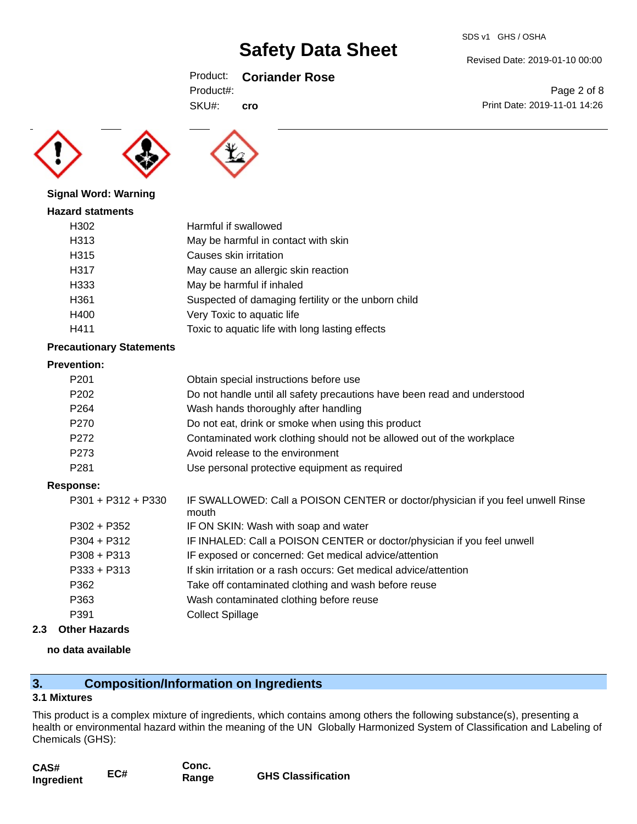## Product: **Coriander Rose**

| Product#: |  |  |  |
|-----------|--|--|--|

SKU#: **cro**

Revised Date: 2019-01-10 00:00

Page 2 of 8 Print Date: 2019-11-01 14:26





## **Signal Word: Warning**

| <b>Hazard statments</b> |
|-------------------------|
|                         |

| H302 | Harmful if swallowed                                |
|------|-----------------------------------------------------|
| H313 | May be harmful in contact with skin                 |
| H315 | Causes skin irritation                              |
| H317 | May cause an allergic skin reaction                 |
| H333 | May be harmful if inhaled                           |
| H361 | Suspected of damaging fertility or the unborn child |
| H400 | Very Toxic to aquatic life                          |
| H411 | Toxic to aquatic life with long lasting effects     |

### **Precautionary Statements**

#### **Prevention:**

| P <sub>201</sub> | Obtain special instructions before use                                   |
|------------------|--------------------------------------------------------------------------|
| P <sub>202</sub> | Do not handle until all safety precautions have been read and understood |
| P <sub>264</sub> | Wash hands thoroughly after handling                                     |
| P270             | Do not eat, drink or smoke when using this product                       |
| P272             | Contaminated work clothing should not be allowed out of the workplace    |
| P273             | Avoid release to the environment                                         |
| P <sub>281</sub> | Use personal protective equipment as required                            |

#### **Response:**

| P301 + P312 + P330 | IF SWALLOWED: Call a POISON CENTER or doctor/physician if you feel unwell Rinse<br>mouth |
|--------------------|------------------------------------------------------------------------------------------|
| P302 + P352        | IF ON SKIN: Wash with soap and water                                                     |
| P304 + P312        | IF INHALED: Call a POISON CENTER or doctor/physician if you feel unwell                  |
| P308 + P313        | IF exposed or concerned: Get medical advice/attention                                    |
| P333 + P313        | If skin irritation or a rash occurs: Get medical advice/attention                        |
| P362               | Take off contaminated clothing and wash before reuse                                     |
| P363               | Wash contaminated clothing before reuse                                                  |
| P391               | <b>Collect Spillage</b>                                                                  |

**2.3 Other Hazards**

## **no data available**

# **3. Composition/Information on Ingredients**

### **3.1 Mixtures**

This product is a complex mixture of ingredients, which contains among others the following substance(s), presenting a health or environmental hazard within the meaning of the UN Globally Harmonized System of Classification and Labeling of Chemicals (GHS):

| CAS#       | EC# | Conc. |                           |
|------------|-----|-------|---------------------------|
| Ingredient |     | Range | <b>GHS Classification</b> |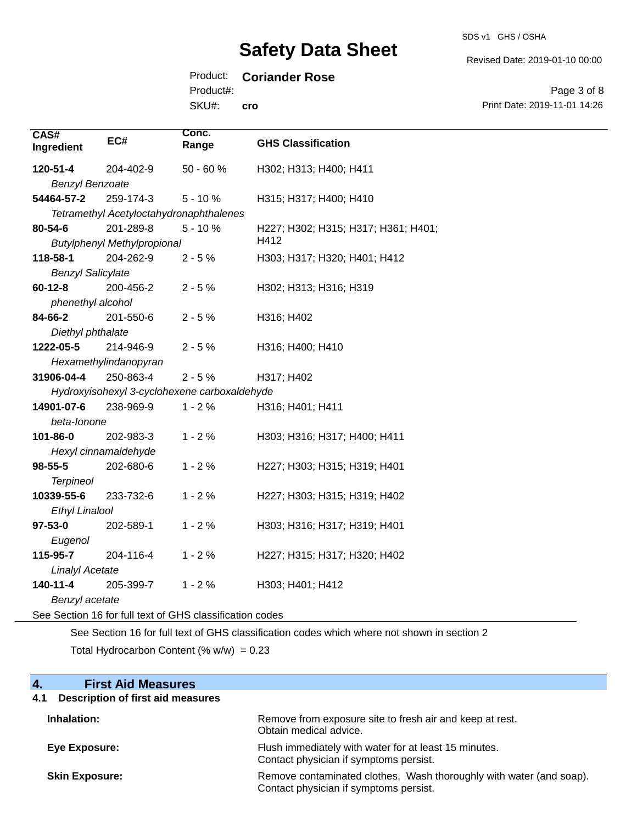#### SDS v1 GHS / OSHA

Revised Date: 2019-01-10 00:00

# Product: **Coriander Rose**

Product#:

SKU#: **cro**

Page 3 of 8 Print Date: 2019-11-01 14:26

| CAS#<br>Ingredient       | EC#                                                      | Conc.<br>Range | <b>GHS Classification</b>           |
|--------------------------|----------------------------------------------------------|----------------|-------------------------------------|
| 120-51-4                 | 204-402-9                                                | 50 - 60 %      | H302; H313; H400; H411              |
| <b>Benzyl Benzoate</b>   |                                                          |                |                                     |
| 54464-57-2               | 259-174-3                                                | $5 - 10%$      | H315; H317; H400; H410              |
|                          | Tetramethyl Acetyloctahydronaphthalenes                  |                |                                     |
| 80-54-6                  | 201-289-8                                                | $5 - 10%$      | H227; H302; H315; H317; H361; H401; |
|                          | <b>Butylphenyl Methylpropional</b>                       |                | H412                                |
| 118-58-1                 | 204-262-9                                                | $2 - 5%$       | H303; H317; H320; H401; H412        |
| <b>Benzyl Salicylate</b> |                                                          |                |                                     |
| $60 - 12 - 8$            | 200-456-2                                                | $2 - 5%$       | H302; H313; H316; H319              |
| phenethyl alcohol        |                                                          |                |                                     |
| 84-66-2                  | 201-550-6                                                | $2 - 5%$       | H316; H402                          |
| Diethyl phthalate        |                                                          |                |                                     |
| 1222-05-5                | 214-946-9                                                | $2 - 5%$       | H316; H400; H410                    |
|                          | Hexamethylindanopyran                                    |                |                                     |
| 31906-04-4               | 250-863-4                                                | $2 - 5%$       | H317; H402                          |
|                          | Hydroxyisohexyl 3-cyclohexene carboxaldehyde             |                |                                     |
| 14901-07-6               | 238-969-9                                                | $1 - 2%$       | H316; H401; H411                    |
| beta-lonone              |                                                          |                |                                     |
| 101-86-0                 | 202-983-3                                                | $1 - 2%$       | H303; H316; H317; H400; H411        |
|                          | Hexyl cinnamaldehyde                                     |                |                                     |
| $98 - 55 - 5$            | 202-680-6                                                | $1 - 2%$       | H227; H303; H315; H319; H401        |
| <b>Terpineol</b>         |                                                          |                |                                     |
| 10339-55-6               | 233-732-6                                                | $1 - 2%$       | H227; H303; H315; H319; H402        |
| <b>Ethyl Linalool</b>    |                                                          |                |                                     |
| $97 - 53 - 0$            | 202-589-1                                                | $1 - 2%$       | H303; H316; H317; H319; H401        |
| Eugenol                  |                                                          |                |                                     |
| 115-95-7                 | 204-116-4                                                | $1 - 2%$       | H227; H315; H317; H320; H402        |
| <b>Linalyl Acetate</b>   |                                                          |                |                                     |
| 140-11-4                 | 205-399-7                                                | $1 - 2%$       | H303; H401; H412                    |
| Benzyl acetate           |                                                          |                |                                     |
|                          | See Section 16 for full text of GHS classification codes |                |                                     |

See Section 16 for full text of GHS classification codes which where not shown in section 2

Total Hydrocarbon Content (%  $w/w$ ) = 0.23

| <b>First Aid Measures</b><br>4.                 |                                                                                                               |
|-------------------------------------------------|---------------------------------------------------------------------------------------------------------------|
| <b>Description of first aid measures</b><br>4.1 |                                                                                                               |
| Inhalation:                                     | Remove from exposure site to fresh air and keep at rest.<br>Obtain medical advice.                            |
| Eye Exposure:                                   | Flush immediately with water for at least 15 minutes.<br>Contact physician if symptoms persist.               |
| <b>Skin Exposure:</b>                           | Remove contaminated clothes. Wash thoroughly with water (and soap).<br>Contact physician if symptoms persist. |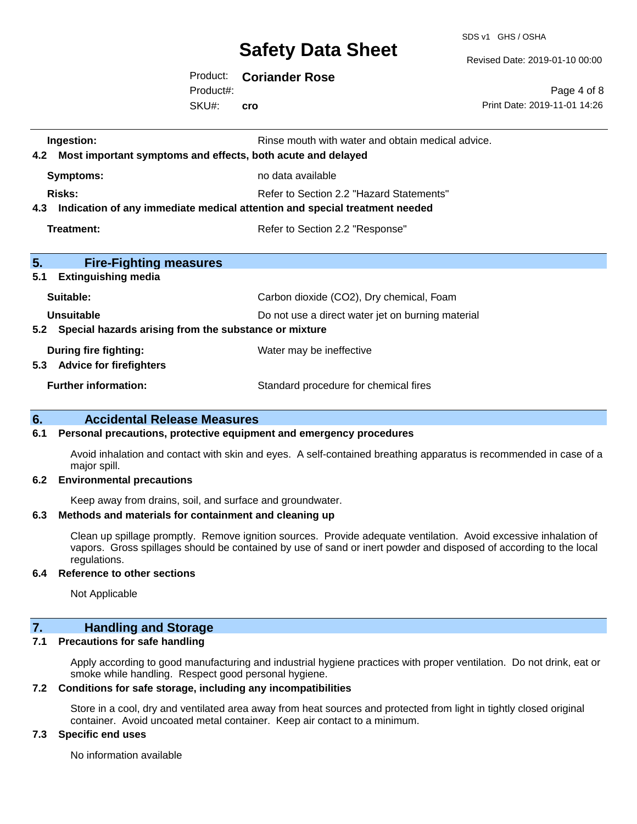SDS v1 GHS / OSHA

Revised Date: 2019-01-10 00:00

Page 4 of 8

Product: **Coriander Rose** Product#:

SKU#: **cro**

Print Date: 2019-11-01 14:26 **Ingestion: Rinse mouth with water and obtain medical advice. Rinse mouth with water and obtain medical advice. 4.2 Most important symptoms and effects, both acute and delayed Symptoms:** no data available **Risks:** Risks: Refer to Section 2.2 "Hazard Statements" **4.3 Indication of any immediate medical attention and special treatment needed Treatment:** Refer to Section 2.2 "Response" **5. Fire-Fighting measures 5.1 Extinguishing media** Suitable: Carbon dioxide (CO2), Dry chemical, Foam **Unsuitable** Do not use a direct water jet on burning material **5.2 Special hazards arising from the substance or mixture During fire fighting:** Water may be ineffective **5.3 Advice for firefighters Further information:** Standard procedure for chemical fires

# **6. Accidental Release Measures**

#### **6.1 Personal precautions, protective equipment and emergency procedures**

Avoid inhalation and contact with skin and eyes. A self-contained breathing apparatus is recommended in case of a major spill.

#### **6.2 Environmental precautions**

Keep away from drains, soil, and surface and groundwater.

#### **6.3 Methods and materials for containment and cleaning up**

Clean up spillage promptly. Remove ignition sources. Provide adequate ventilation. Avoid excessive inhalation of vapors. Gross spillages should be contained by use of sand or inert powder and disposed of according to the local regulations.

#### **6.4 Reference to other sections**

Not Applicable

# **7. Handling and Storage**

#### **7.1 Precautions for safe handling**

Apply according to good manufacturing and industrial hygiene practices with proper ventilation. Do not drink, eat or smoke while handling. Respect good personal hygiene.

#### **7.2 Conditions for safe storage, including any incompatibilities**

Store in a cool, dry and ventilated area away from heat sources and protected from light in tightly closed original container. Avoid uncoated metal container. Keep air contact to a minimum.

#### **7.3 Specific end uses**

No information available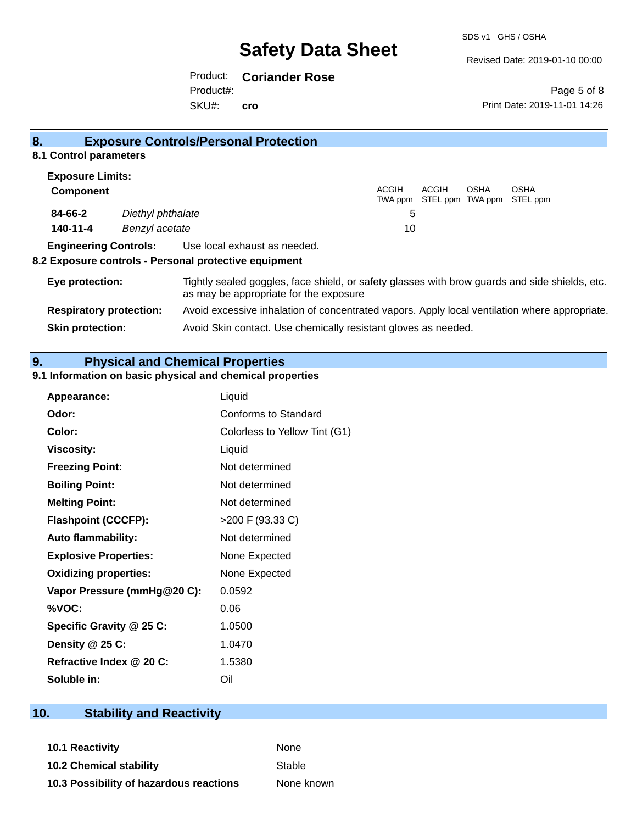Revised Date: 2019-01-10 00:00

Product: **Coriander Rose** SKU#: Product#: **cro**

Page 5 of 8 Print Date: 2019-11-01 14:26

| 8.                             |                   | <b>Exposure Controls/Personal Protection</b>                                                                                             |                         |       |                                 |                  |
|--------------------------------|-------------------|------------------------------------------------------------------------------------------------------------------------------------------|-------------------------|-------|---------------------------------|------------------|
| 8.1 Control parameters         |                   |                                                                                                                                          |                         |       |                                 |                  |
| <b>Exposure Limits:</b>        |                   |                                                                                                                                          |                         |       |                                 |                  |
| <b>Component</b>               |                   |                                                                                                                                          | <b>ACGIH</b><br>TWA ppm | ACGIH | <b>OSHA</b><br>STEL ppm TWA ppm | OSHA<br>STEL ppm |
| 84-66-2                        | Diethyl phthalate |                                                                                                                                          | 5                       |       |                                 |                  |
| 140-11-4                       | Benzyl acetate    |                                                                                                                                          | 10                      |       |                                 |                  |
| <b>Engineering Controls:</b>   |                   | Use local exhaust as needed.<br>8.2 Exposure controls - Personal protective equipment                                                    |                         |       |                                 |                  |
| Eye protection:                |                   | Tightly sealed goggles, face shield, or safety glasses with brow guards and side shields, etc.<br>as may be appropriate for the exposure |                         |       |                                 |                  |
| <b>Respiratory protection:</b> |                   | Avoid excessive inhalation of concentrated vapors. Apply local ventilation where appropriate.                                            |                         |       |                                 |                  |
| <b>Skin protection:</b>        |                   | Avoid Skin contact. Use chemically resistant gloves as needed.                                                                           |                         |       |                                 |                  |

**9. Physical and Chemical Properties** 

### **9.1 Information on basic physical and chemical properties**

| Appearance:                  | Liquid                        |
|------------------------------|-------------------------------|
| Odor:                        | Conforms to Standard          |
| Color:                       | Colorless to Yellow Tint (G1) |
| <b>Viscosity:</b>            | Liquid                        |
| <b>Freezing Point:</b>       | Not determined                |
| <b>Boiling Point:</b>        | Not determined                |
| <b>Melting Point:</b>        | Not determined                |
| <b>Flashpoint (CCCFP):</b>   | >200 F (93.33 C)              |
| <b>Auto flammability:</b>    | Not determined                |
| <b>Explosive Properties:</b> | None Expected                 |
| <b>Oxidizing properties:</b> | None Expected                 |
| Vapor Pressure (mmHg@20 C):  | 0.0592                        |
| %VOC:                        | 0.06                          |
| Specific Gravity @ 25 C:     | 1.0500                        |
| Density $@25C$ :             | 1.0470                        |
| Refractive Index @ 20 C:     | 1.5380                        |
| Soluble in:                  | Oil                           |

# **10. Stability and Reactivity**

**10.1 Reactivity** None **10.2 Chemical stability** Stable

**10.3 Possibility of hazardous reactions** None known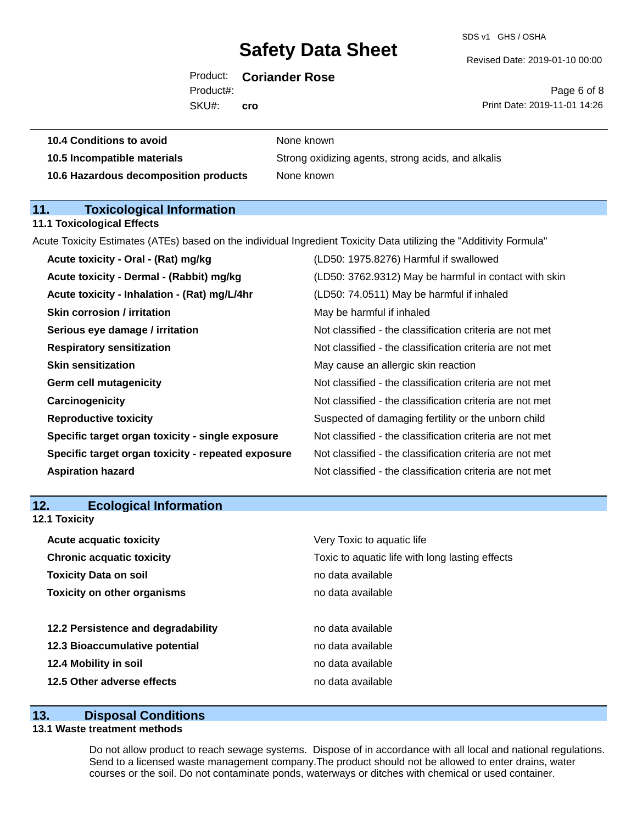SDS v1 GHS / OSHA

Revised Date: 2019-01-10 00:00

| <b>Coriander Rose</b> |
|-----------------------|
|                       |

SKU#: Product#: **cro**

Page 6 of 8 Print Date: 2019-11-01 14:26

| <b>10.4 Conditions to avoid</b> | None known |
|---------------------------------|------------|
|                                 |            |

**10.5 Incompatible materials** Strong oxidizing agents, strong acids, and alkalis **10.6 Hazardous decomposition products** None known

### **11. Toxicological Information 11.1 Toxicological Effects**

Acute Toxicity Estimates (ATEs) based on the individual Ingredient Toxicity Data utilizing the "Additivity Formula"

| Acute toxicity - Oral - (Rat) mg/kg                | (LD50: 1975.8276) Harmful if swallowed                   |
|----------------------------------------------------|----------------------------------------------------------|
| Acute toxicity - Dermal - (Rabbit) mg/kg           | (LD50: 3762.9312) May be harmful in contact with skin    |
| Acute toxicity - Inhalation - (Rat) mg/L/4hr       | (LD50: 74.0511) May be harmful if inhaled                |
| <b>Skin corrosion / irritation</b>                 | May be harmful if inhaled                                |
| Serious eye damage / irritation                    | Not classified - the classification criteria are not met |
| <b>Respiratory sensitization</b>                   | Not classified - the classification criteria are not met |
| <b>Skin sensitization</b>                          | May cause an allergic skin reaction                      |
| <b>Germ cell mutagenicity</b>                      | Not classified - the classification criteria are not met |
| Carcinogenicity                                    | Not classified - the classification criteria are not met |
| <b>Reproductive toxicity</b>                       | Suspected of damaging fertility or the unborn child      |
| Specific target organ toxicity - single exposure   | Not classified - the classification criteria are not met |
| Specific target organ toxicity - repeated exposure | Not classified - the classification criteria are not met |
| <b>Aspiration hazard</b>                           | Not classified - the classification criteria are not met |

| 12. | <b>Ecological Information</b> |
|-----|-------------------------------|
|-----|-------------------------------|

| <b>Acute acquatic toxicity</b><br>Very Toxic to aquatic life |                                                 |
|--------------------------------------------------------------|-------------------------------------------------|
| <b>Chronic acquatic toxicity</b>                             | Toxic to aquatic life with long lasting effects |
| <b>Toxicity Data on soil</b>                                 | no data available                               |
| <b>Toxicity on other organisms</b>                           | no data available                               |
|                                                              |                                                 |
| 12.2 Persistence and degradability                           | no data available                               |
| 12.3 Bioaccumulative potential                               | no data available                               |
| 12.4 Mobility in soil                                        | no data available                               |
| 12.5 Other adverse effects                                   | no data available                               |

## **13. Disposal Conditions**

#### **13.1 Waste treatment methods**

**12.1 Toxicity**

Do not allow product to reach sewage systems. Dispose of in accordance with all local and national regulations. Send to a licensed waste management company.The product should not be allowed to enter drains, water courses or the soil. Do not contaminate ponds, waterways or ditches with chemical or used container.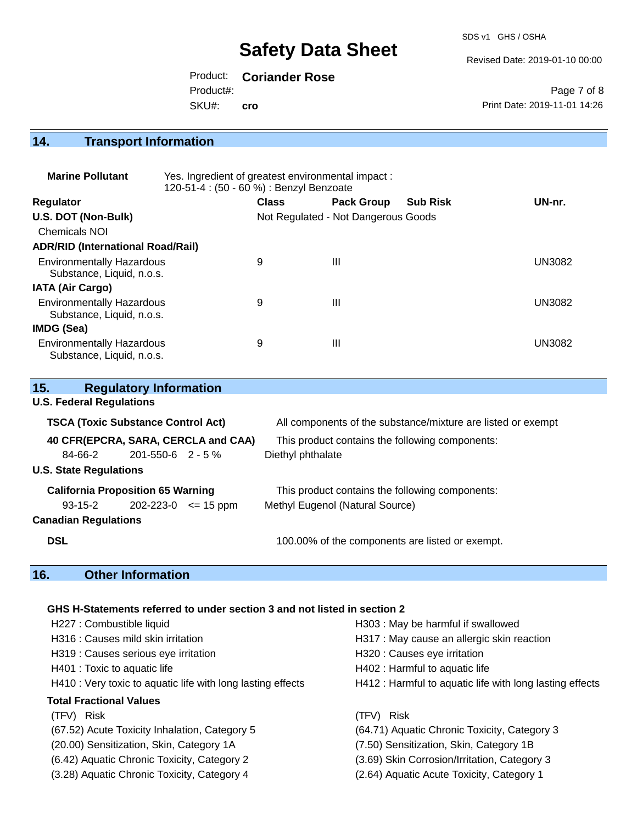SDS v1 GHS / OSHA

Revised Date: 2019-01-10 00:00

Product: **Coriander Rose**

Product#:

SKU#: **cro**

Page 7 of 8 Print Date: 2019-11-01 14:26

# **14. Transport Information**

| <b>Marine Pollutant</b>                                       | Yes. Ingredient of greatest environmental impact:<br>120-51-4 : (50 - 60 %) : Benzyl Benzoate |              |                                     |                 |               |
|---------------------------------------------------------------|-----------------------------------------------------------------------------------------------|--------------|-------------------------------------|-----------------|---------------|
| <b>Regulator</b>                                              |                                                                                               | <b>Class</b> | <b>Pack Group</b>                   | <b>Sub Risk</b> | UN-nr.        |
| U.S. DOT (Non-Bulk)                                           |                                                                                               |              | Not Regulated - Not Dangerous Goods |                 |               |
| <b>Chemicals NOI</b>                                          |                                                                                               |              |                                     |                 |               |
| <b>ADR/RID (International Road/Rail)</b>                      |                                                                                               |              |                                     |                 |               |
| <b>Environmentally Hazardous</b><br>Substance, Liquid, n.o.s. |                                                                                               | 9            | $\mathbf{III}$                      |                 | <b>UN3082</b> |
| <b>IATA (Air Cargo)</b>                                       |                                                                                               |              |                                     |                 |               |
| <b>Environmentally Hazardous</b><br>Substance, Liquid, n.o.s. |                                                                                               | 9            | Ш                                   |                 | <b>UN3082</b> |
| IMDG (Sea)                                                    |                                                                                               |              |                                     |                 |               |
| <b>Environmentally Hazardous</b><br>Substance, Liquid, n.o.s. |                                                                                               | 9            | Ш                                   |                 | <b>UN3082</b> |

| 15.                                       | <b>Regulatory Information</b>     |                                     |                                                              |
|-------------------------------------------|-----------------------------------|-------------------------------------|--------------------------------------------------------------|
| <b>U.S. Federal Regulations</b>           |                                   |                                     |                                                              |
| <b>TSCA (Toxic Substance Control Act)</b> |                                   |                                     | All components of the substance/mixture are listed or exempt |
|                                           |                                   | 40 CFR(EPCRA, SARA, CERCLA and CAA) | This product contains the following components:              |
| 84-66-2                                   | 201-550-6 2 - 5 %                 |                                     | Diethyl phthalate                                            |
| <b>U.S. State Regulations</b>             |                                   |                                     |                                                              |
| <b>California Proposition 65 Warning</b>  |                                   |                                     | This product contains the following components:              |
|                                           | $93-15-2$ 202-223-0 $\leq$ 15 ppm |                                     | Methyl Eugenol (Natural Source)                              |
| <b>Canadian Regulations</b>               |                                   |                                     |                                                              |
| <b>DSL</b>                                |                                   |                                     | 100.00% of the components are listed or exempt.              |

# **16. Other Information**

## **GHS H-Statements referred to under section 3 and not listed in section 2**

| H227 : Combustible liquid                                   | H303: May be harmful if swallowed                        |
|-------------------------------------------------------------|----------------------------------------------------------|
| H316 : Causes mild skin irritation                          | H317 : May cause an allergic skin reaction               |
| H319 : Causes serious eye irritation                        | H320 : Causes eye irritation                             |
| H401 : Toxic to aquatic life                                | H402 : Harmful to aquatic life                           |
| H410 : Very toxic to aquatic life with long lasting effects | H412 : Harmful to aquatic life with long lasting effects |
| <b>Total Fractional Values</b>                              |                                                          |
| (TFV) Risk                                                  | (TFV) Risk                                               |
| (67.52) Acute Toxicity Inhalation, Category 5               | (64.71) Aquatic Chronic Toxicity, Category 3             |
| (20.00) Sensitization, Skin, Category 1A                    | (7.50) Sensitization, Skin, Category 1B                  |
| (6.42) Aquatic Chronic Toxicity, Category 2                 | (3.69) Skin Corrosion/Irritation, Category 3             |
| (3.28) Aquatic Chronic Toxicity, Category 4                 | (2.64) Aquatic Acute Toxicity, Category 1                |